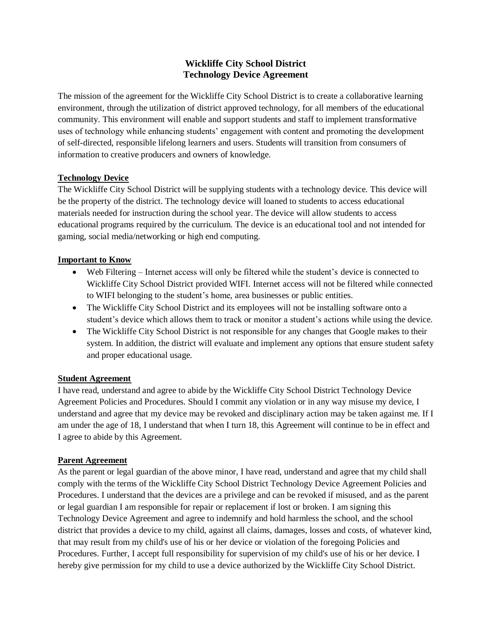## **Wickliffe City School District Technology Device Agreement**

The mission of the agreement for the Wickliffe City School District is to create a collaborative learning environment, through the utilization of district approved technology, for all members of the educational community. This environment will enable and support students and staff to implement transformative uses of technology while enhancing students' engagement with content and promoting the development of self-directed, responsible lifelong learners and users. Students will transition from consumers of information to creative producers and owners of knowledge.

#### **Technology Device**

The Wickliffe City School District will be supplying students with a technology device. This device will be the property of the district. The technology device will loaned to students to access educational materials needed for instruction during the school year. The device will allow students to access educational programs required by the curriculum. The device is an educational tool and not intended for gaming, social media/networking or high end computing.

#### **Important to Know**

- Web Filtering Internet access will only be filtered while the student's device is connected to Wickliffe City School District provided WIFI. Internet access will not be filtered while connected to WIFI belonging to the student's home, area businesses or public entities.
- The Wickliffe City School District and its employees will not be installing software onto a student's device which allows them to track or monitor a student's actions while using the device.
- The Wickliffe City School District is not responsible for any changes that Google makes to their system. In addition, the district will evaluate and implement any options that ensure student safety and proper educational usage.

### **Student Agreement**

I have read, understand and agree to abide by the Wickliffe City School District Technology Device Agreement Policies and Procedures. Should I commit any violation or in any way misuse my device, I understand and agree that my device may be revoked and disciplinary action may be taken against me. If I am under the age of 18, I understand that when I turn 18, this Agreement will continue to be in effect and I agree to abide by this Agreement.

#### **Parent Agreement**

As the parent or legal guardian of the above minor, I have read, understand and agree that my child shall comply with the terms of the Wickliffe City School District Technology Device Agreement Policies and Procedures. I understand that the devices are a privilege and can be revoked if misused, and as the parent or legal guardian I am responsible for repair or replacement if lost or broken. I am signing this Technology Device Agreement and agree to indemnify and hold harmless the school, and the school district that provides a device to my child, against all claims, damages, losses and costs, of whatever kind, that may result from my child's use of his or her device or violation of the foregoing Policies and Procedures. Further, I accept full responsibility for supervision of my child's use of his or her device. I hereby give permission for my child to use a device authorized by the Wickliffe City School District.